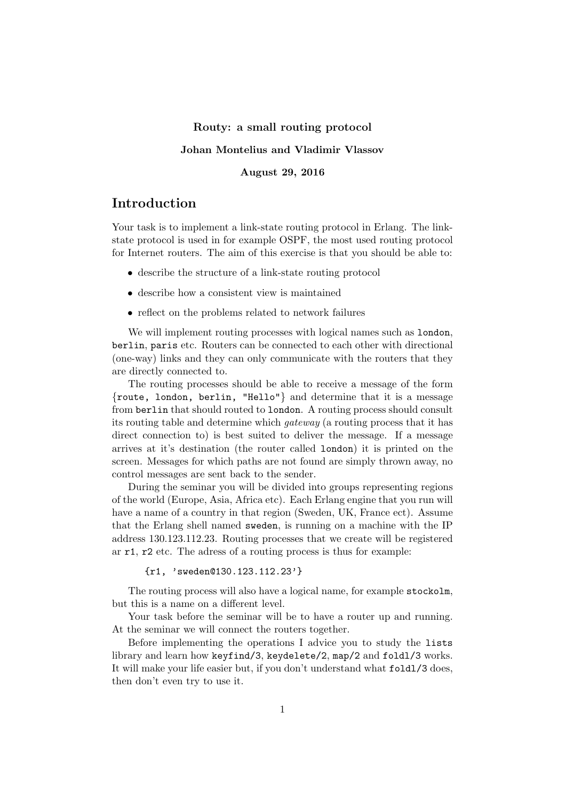#### Routy: a small routing protocol

### Johan Montelius and Vladimir Vlassov

### August 29, 2016

# Introduction

Your task is to implement a link-state routing protocol in Erlang. The linkstate protocol is used in for example OSPF, the most used routing protocol for Internet routers. The aim of this exercise is that you should be able to:

- describe the structure of a link-state routing protocol
- describe how a consistent view is maintained
- reflect on the problems related to network failures

We will implement routing processes with logical names such as **london**, berlin, paris etc. Routers can be connected to each other with directional (one-way) links and they can only communicate with the routers that they are directly connected to.

The routing processes should be able to receive a message of the form {route, london, berlin, "Hello"} and determine that it is a message from berlin that should routed to london. A routing process should consult its routing table and determine which gateway (a routing process that it has direct connection to) is best suited to deliver the message. If a message arrives at it's destination (the router called london) it is printed on the screen. Messages for which paths are not found are simply thrown away, no control messages are sent back to the sender.

During the seminar you will be divided into groups representing regions of the world (Europe, Asia, Africa etc). Each Erlang engine that you run will have a name of a country in that region (Sweden, UK, France ect). Assume that the Erlang shell named sweden, is running on a machine with the IP address 130.123.112.23. Routing processes that we create will be registered ar r1, r2 etc. The adress of a routing process is thus for example:

{r1, 'sweden@130.123.112.23'}

The routing process will also have a logical name, for example stockolm, but this is a name on a different level.

Your task before the seminar will be to have a router up and running. At the seminar we will connect the routers together.

Before implementing the operations I advice you to study the lists library and learn how keyfind/3, keydelete/2, map/2 and foldl/3 works. It will make your life easier but, if you don't understand what foldl/3 does, then don't even try to use it.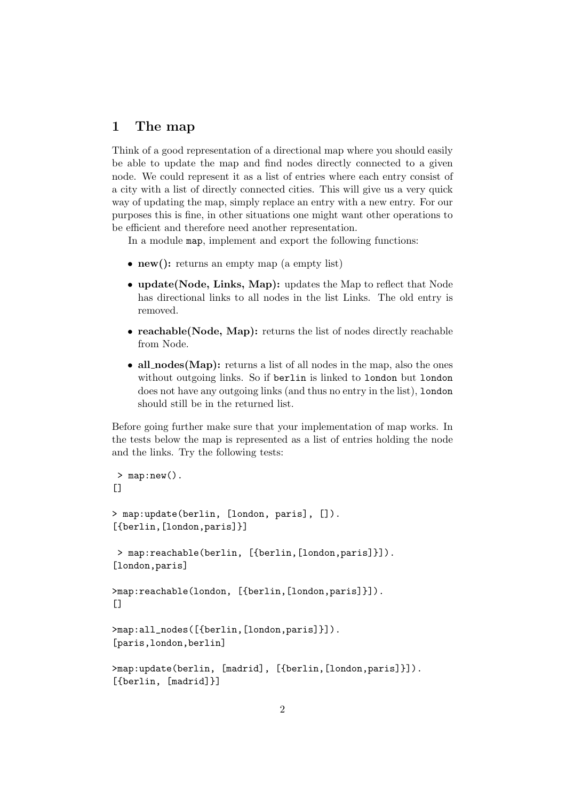## 1 The map

Think of a good representation of a directional map where you should easily be able to update the map and find nodes directly connected to a given node. We could represent it as a list of entries where each entry consist of a city with a list of directly connected cities. This will give us a very quick way of updating the map, simply replace an entry with a new entry. For our purposes this is fine, in other situations one might want other operations to be efficient and therefore need another representation.

In a module map, implement and export the following functions:

- new(): returns an empty map (a empty list)
- update(Node, Links, Map): updates the Map to reflect that Node has directional links to all nodes in the list Links. The old entry is removed.
- reachable(Node, Map): returns the list of nodes directly reachable from Node.
- all nodes (Map): returns a list of all nodes in the map, also the ones without outgoing links. So if berlin is linked to london but london does not have any outgoing links (and thus no entry in the list), london should still be in the returned list.

Before going further make sure that your implementation of map works. In the tests below the map is represented as a list of entries holding the node and the links. Try the following tests:

```
> map:new().
\lceil]
> map:update(berlin, [london, paris], []).
[{berlin,[london,paris]}]
> map:reachable(berlin, [{berlin,[london,paris]}]).
[london,paris]
>map:reachable(london, [{berlin,[london,paris]}]).
\lceil]
>map:all_nodes([{berlin,[london,paris]}]).
[paris,london,berlin]
>map:update(berlin, [madrid], [{berlin,[london,paris]}]).
[{berlin, [madrid]}]
```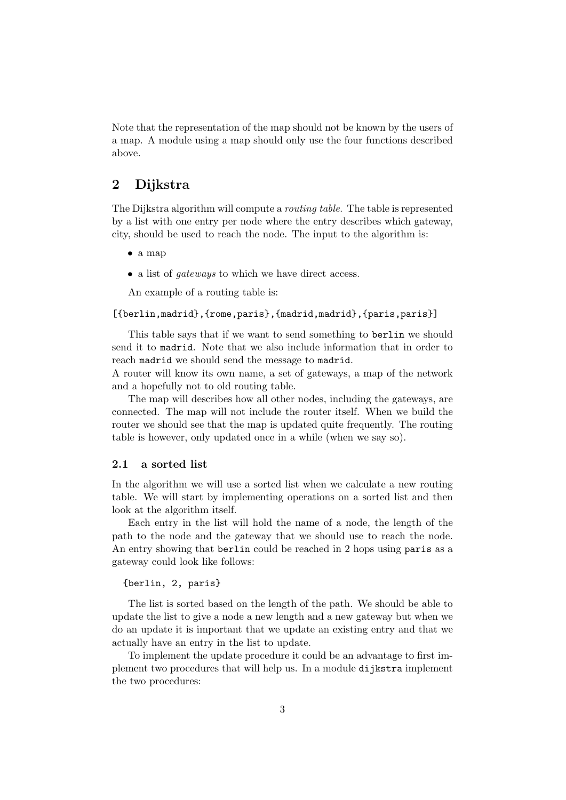Note that the representation of the map should not be known by the users of a map. A module using a map should only use the four functions described above.

# 2 Dijkstra

The Dijkstra algorithm will compute a routing table. The table is represented by a list with one entry per node where the entry describes which gateway, city, should be used to reach the node. The input to the algorithm is:

- a map
- a list of *gateways* to which we have direct access.

An example of a routing table is:

#### [{berlin,madrid},{rome,paris},{madrid,madrid},{paris,paris}]

This table says that if we want to send something to berlin we should send it to madrid. Note that we also include information that in order to reach madrid we should send the message to madrid.

A router will know its own name, a set of gateways, a map of the network and a hopefully not to old routing table.

The map will describes how all other nodes, including the gateways, are connected. The map will not include the router itself. When we build the router we should see that the map is updated quite frequently. The routing table is however, only updated once in a while (when we say so).

#### 2.1 a sorted list

In the algorithm we will use a sorted list when we calculate a new routing table. We will start by implementing operations on a sorted list and then look at the algorithm itself.

Each entry in the list will hold the name of a node, the length of the path to the node and the gateway that we should use to reach the node. An entry showing that berlin could be reached in 2 hops using paris as a gateway could look like follows:

#### {berlin, 2, paris}

The list is sorted based on the length of the path. We should be able to update the list to give a node a new length and a new gateway but when we do an update it is important that we update an existing entry and that we actually have an entry in the list to update.

To implement the update procedure it could be an advantage to first implement two procedures that will help us. In a module dijkstra implement the two procedures: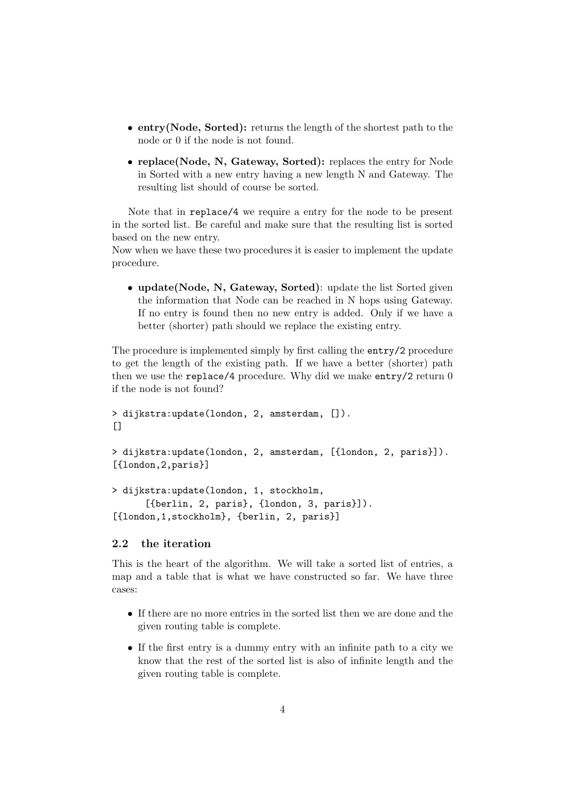- entry(Node, Sorted): returns the length of the shortest path to the node or 0 if the node is not found.
- replace(Node, N, Gateway, Sorted): replaces the entry for Node in Sorted with a new entry having a new length N and Gateway. The resulting list should of course be sorted.

Note that in replace/4 we require a entry for the node to be present in the sorted list. Be careful and make sure that the resulting list is sorted based on the new entry.

Now when we have these two procedures it is easier to implement the update procedure.

• update(Node, N, Gateway, Sorted): update the list Sorted given the information that Node can be reached in N hops using Gateway. If no entry is found then no new entry is added. Only if we have a better (shorter) path should we replace the existing entry.

The procedure is implemented simply by first calling the entry/2 procedure to get the length of the existing path. If we have a better (shorter) path then we use the replace/4 procedure. Why did we make entry/2 return 0 if the node is not found?

```
> dijkstra:update(london, 2, amsterdam, []).
\Box
```

```
> dijkstra:update(london, 2, amsterdam, [{london, 2, paris}]).
[{london,2,paris}]
```

```
> dijkstra:update(london, 1, stockholm,
      [{berlin, 2, paris}, {london, 3, paris}]).
[{london,1,stockholm}, {berlin, 2, paris}]
```
### 2.2 the iteration

This is the heart of the algorithm. We will take a sorted list of entries, a map and a table that is what we have constructed so far. We have three cases:

- If there are no more entries in the sorted list then we are done and the given routing table is complete.
- If the first entry is a dummy entry with an infinite path to a city we know that the rest of the sorted list is also of infinite length and the given routing table is complete.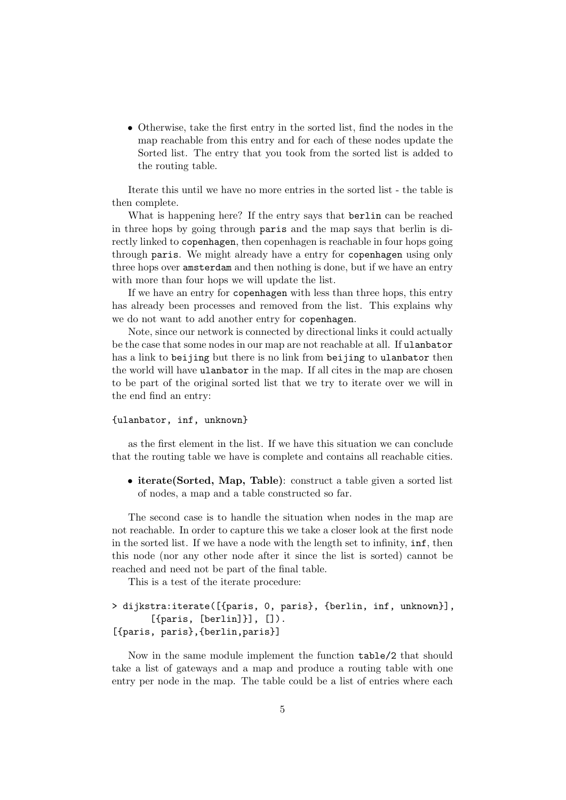• Otherwise, take the first entry in the sorted list, find the nodes in the map reachable from this entry and for each of these nodes update the Sorted list. The entry that you took from the sorted list is added to the routing table.

Iterate this until we have no more entries in the sorted list - the table is then complete.

What is happening here? If the entry says that berlin can be reached in three hops by going through paris and the map says that berlin is directly linked to copenhagen, then copenhagen is reachable in four hops going through paris. We might already have a entry for copenhagen using only three hops over amsterdam and then nothing is done, but if we have an entry with more than four hops we will update the list.

If we have an entry for copenhagen with less than three hops, this entry has already been processes and removed from the list. This explains why we do not want to add another entry for copenhagen.

Note, since our network is connected by directional links it could actually be the case that some nodes in our map are not reachable at all. If ulanbator has a link to beijing but there is no link from beijing to ulanbator then the world will have ulanbator in the map. If all cites in the map are chosen to be part of the original sorted list that we try to iterate over we will in the end find an entry:

#### {ulanbator, inf, unknown}

as the first element in the list. If we have this situation we can conclude that the routing table we have is complete and contains all reachable cities.

• iterate(Sorted, Map, Table): construct a table given a sorted list of nodes, a map and a table constructed so far.

The second case is to handle the situation when nodes in the map are not reachable. In order to capture this we take a closer look at the first node in the sorted list. If we have a node with the length set to infinity, inf, then this node (nor any other node after it since the list is sorted) cannot be reached and need not be part of the final table.

This is a test of the iterate procedure:

```
> dijkstra:iterate([{paris, 0, paris}, {berlin, inf, unknown}],
        [\text{fparis}, [\text{berlin}]], []).
[{paris, paris},{berlin,paris}]
```
Now in the same module implement the function table/2 that should take a list of gateways and a map and produce a routing table with one entry per node in the map. The table could be a list of entries where each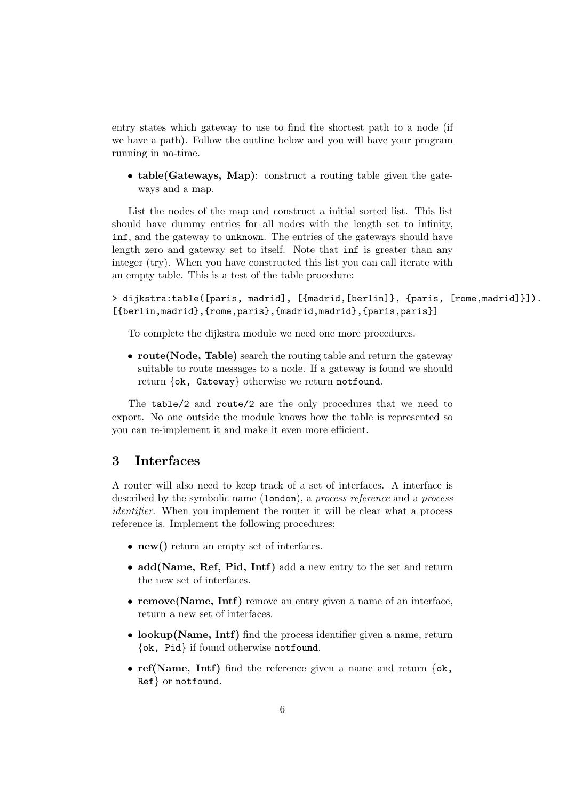entry states which gateway to use to find the shortest path to a node (if we have a path). Follow the outline below and you will have your program running in no-time.

• table(Gateways, Map): construct a routing table given the gateways and a map.

List the nodes of the map and construct a initial sorted list. This list should have dummy entries for all nodes with the length set to infinity, inf, and the gateway to unknown. The entries of the gateways should have length zero and gateway set to itself. Note that inf is greater than any integer (try). When you have constructed this list you can call iterate with an empty table. This is a test of the table procedure:

> dijkstra:table([paris, madrid], [{madrid,[berlin]}, {paris, [rome,madrid]}]). [{berlin,madrid}, {rome, paris}, {madrid, madrid}, {paris, paris}]

To complete the dijkstra module we need one more procedures.

• route(Node, Table) search the routing table and return the gateway suitable to route messages to a node. If a gateway is found we should return {ok, Gateway} otherwise we return notfound.

The table/2 and route/2 are the only procedures that we need to export. No one outside the module knows how the table is represented so you can re-implement it and make it even more efficient.

### 3 Interfaces

A router will also need to keep track of a set of interfaces. A interface is described by the symbolic name (**london**), a *process reference* and a *process* identifier. When you implement the router it will be clear what a process reference is. Implement the following procedures:

- new() return an empty set of interfaces.
- add(Name, Ref, Pid, Intf) add a new entry to the set and return the new set of interfaces.
- remove(Name, Intf) remove an entry given a name of an interface, return a new set of interfaces.
- lookup(Name, Intf) find the process identifier given a name, return {ok, Pid} if found otherwise notfound.
- ref(Name, Intf) find the reference given a name and return  $\{\alpha k, \alpha\}$ Ref} or notfound.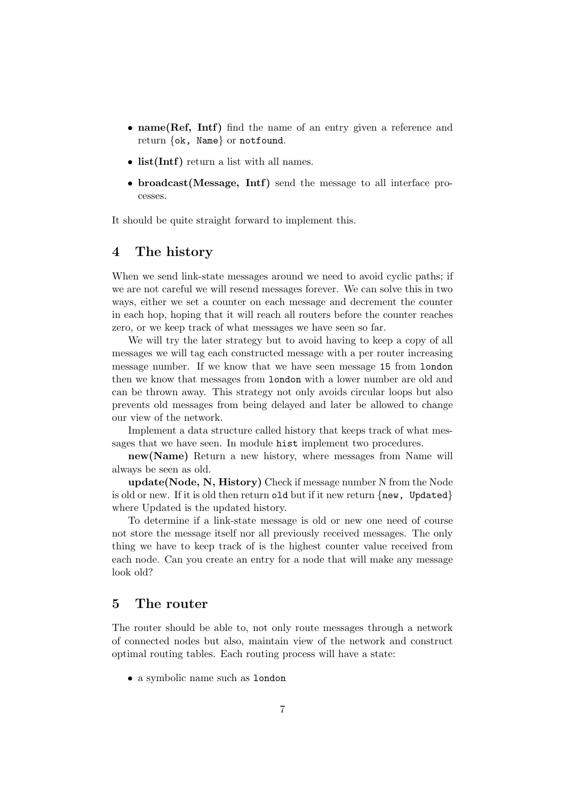- name(Ref, Intf) find the name of an entry given a reference and return {ok, Name} or notfound.
- list(Intf) return a list with all names.
- broadcast(Message, Intf) send the message to all interface processes.

It should be quite straight forward to implement this.

# 4 The history

When we send link-state messages around we need to avoid cyclic paths; if we are not careful we will resend messages forever. We can solve this in two ways, either we set a counter on each message and decrement the counter in each hop, hoping that it will reach all routers before the counter reaches zero, or we keep track of what messages we have seen so far.

We will try the later strategy but to avoid having to keep a copy of all messages we will tag each constructed message with a per router increasing message number. If we know that we have seen message 15 from london then we know that messages from london with a lower number are old and can be thrown away. This strategy not only avoids circular loops but also prevents old messages from being delayed and later be allowed to change our view of the network.

Implement a data structure called history that keeps track of what messages that we have seen. In module hist implement two procedures.

new(Name) Return a new history, where messages from Name will always be seen as old.

update(Node, N, History) Check if message number N from the Node is old or new. If it is old then return old but if it new return  $\{new, Updated\}$ where Updated is the updated history.

To determine if a link-state message is old or new one need of course not store the message itself nor all previously received messages. The only thing we have to keep track of is the highest counter value received from each node. Can you create an entry for a node that will make any message look old?

### 5 The router

The router should be able to, not only route messages through a network of connected nodes but also, maintain view of the network and construct optimal routing tables. Each routing process will have a state:

• a symbolic name such as london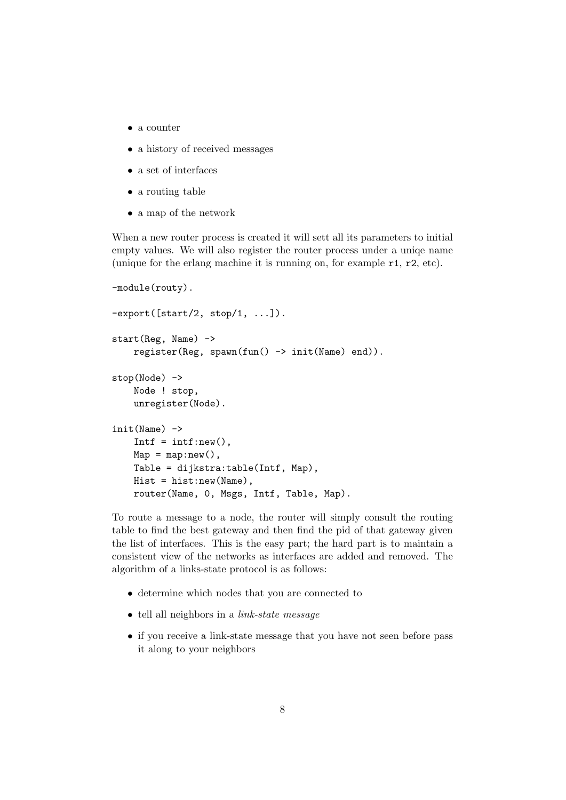- a counter
- a history of received messages
- a set of interfaces
- a routing table
- a map of the network

When a new router process is created it will sett all its parameters to initial empty values. We will also register the router process under a uniqe name (unique for the erlang machine it is running on, for example r1, r2, etc).

```
-module(routy).
-export([start/2, stop/1, ...]).
start(Reg, Name) ->
    register(Reg, spawn(fun() \rightarrow init(Name) end)).stop(Node) ->
    Node ! stop,
    unregister(Node).
init(Name) ->
    Intf = intf:new(),
    Map = map: new(),
    Table = dijkstra:table(Intf, Map),
    Hist = hist:new(Name),
    router(Name, 0, Msgs, Intf, Table, Map).
```
To route a message to a node, the router will simply consult the routing table to find the best gateway and then find the pid of that gateway given the list of interfaces. This is the easy part; the hard part is to maintain a consistent view of the networks as interfaces are added and removed. The algorithm of a links-state protocol is as follows:

- determine which nodes that you are connected to
- tell all neighbors in a *link-state message*
- if you receive a link-state message that you have not seen before pass it along to your neighbors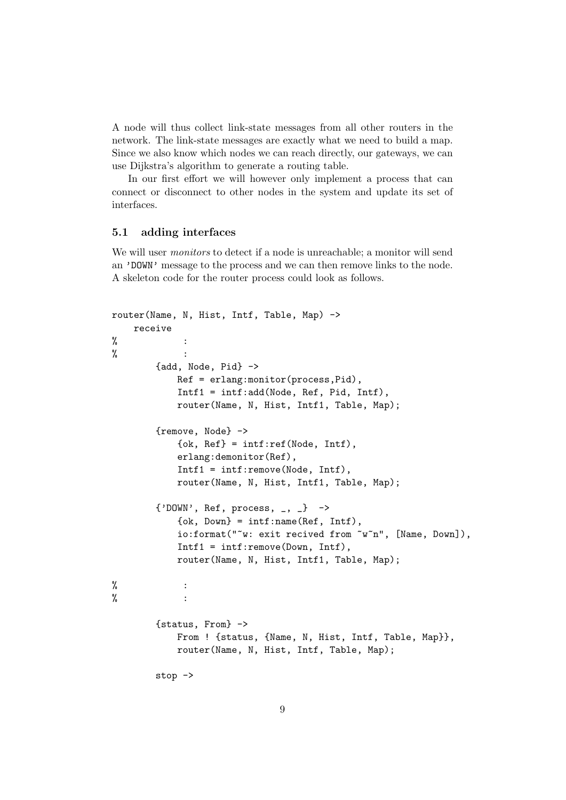A node will thus collect link-state messages from all other routers in the network. The link-state messages are exactly what we need to build a map. Since we also know which nodes we can reach directly, our gateways, we can use Dijkstra's algorithm to generate a routing table.

In our first effort we will however only implement a process that can connect or disconnect to other nodes in the system and update its set of interfaces.

#### 5.1 adding interfaces

We will user *monitors* to detect if a node is unreachable; a monitor will send an 'DOWN' message to the process and we can then remove links to the node. A skeleton code for the router process could look as follows.

```
router(Name, N, Hist, Intf, Table, Map) ->
    receive
% \hspace{0.1cm} :
% \hspace{0.1cm} :
        {add, Node, Pid} ->
            Ref = erlang:monitor(process,Pid),
            Intf1 = intf:add(Node, Ref, Pid, Intf),
            router(Name, N, Hist, Intf1, Table, Map);
        {remove, Node} ->
            \{ok, Ref\} = intf:ref(Node, Intf),
            erlang:demonitor(Ref),
            Intf1 = intf:remove(Node, Intf),
            router(Name, N, Hist, Intf1, Table, Map);
        \{\n'DOWN', Ref, process, \_, \_} ->
            \{ok, Down\} = intf:name(Ref, Intf),io:format("~w: exit recived from ~w~n", [Name, Down]),
            Intf1 = intf:remove(Down, Intf),
            router(Name, N, Hist, Intf1, Table, Map);
% \hspace{0.1cm} :
% \hspace{0.1cm} :
        {status, From} ->
            From ! {status, {Name, N, Hist, Intf, Table, Map}},
            router(Name, N, Hist, Intf, Table, Map);
        stop ->
```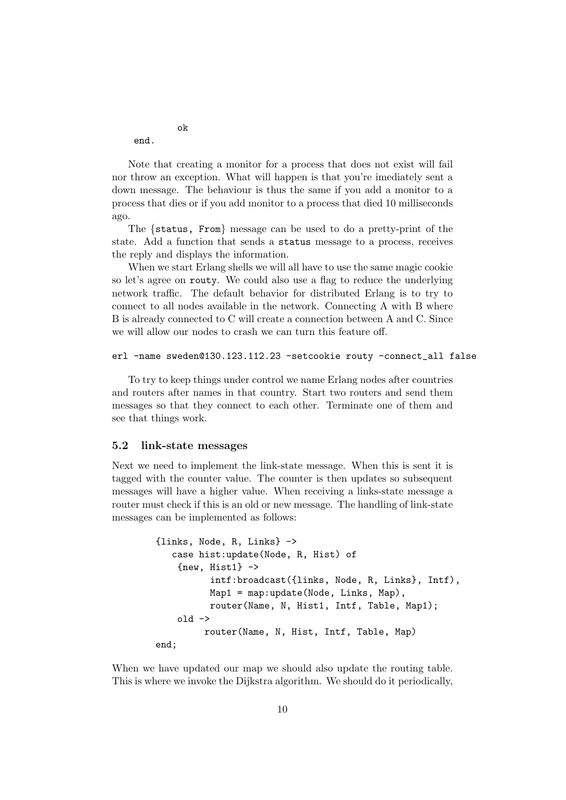end.

ok

Note that creating a monitor for a process that does not exist will fail nor throw an exception. What will happen is that you're imediately sent a down message. The behaviour is thus the same if you add a monitor to a process that dies or if you add monitor to a process that died 10 milliseconds ago.

The {status, From} message can be used to do a pretty-print of the state. Add a function that sends a status message to a process, receives the reply and displays the information.

When we start Erlang shells we will all have to use the same magic cookie so let's agree on routy. We could also use a flag to reduce the underlying network traffic. The default behavior for distributed Erlang is to try to connect to all nodes available in the network. Connecting A with B where B is already connected to C will create a connection between A and C. Since we will allow our nodes to crash we can turn this feature off.

```
erl -name sweden@130.123.112.23 -setcookie routy -connect_all false
```
To try to keep things under control we name Erlang nodes after countries and routers after names in that country. Start two routers and send them messages so that they connect to each other. Terminate one of them and see that things work.

#### 5.2 link-state messages

Next we need to implement the link-state message. When this is sent it is tagged with the counter value. The counter is then updates so subsequent messages will have a higher value. When receiving a links-state message a router must check if this is an old or new message. The handling of link-state messages can be implemented as follows:

```
{links, Node, R, Links} ->
   case hist:update(Node, R, Hist) of
    {\text{new}, \text{Hist1}} \rightarrowintf:broadcast({links, Node, R, Links}, Intf),
           Map1 = map:update(Node, Links, Map),
           router(Name, N, Hist1, Intf, Table, Map1);
    old ->
         router(Name, N, Hist, Intf, Table, Map)
end;
```
When we have updated our map we should also update the routing table. This is where we invoke the Dijkstra algorithm. We should do it periodically,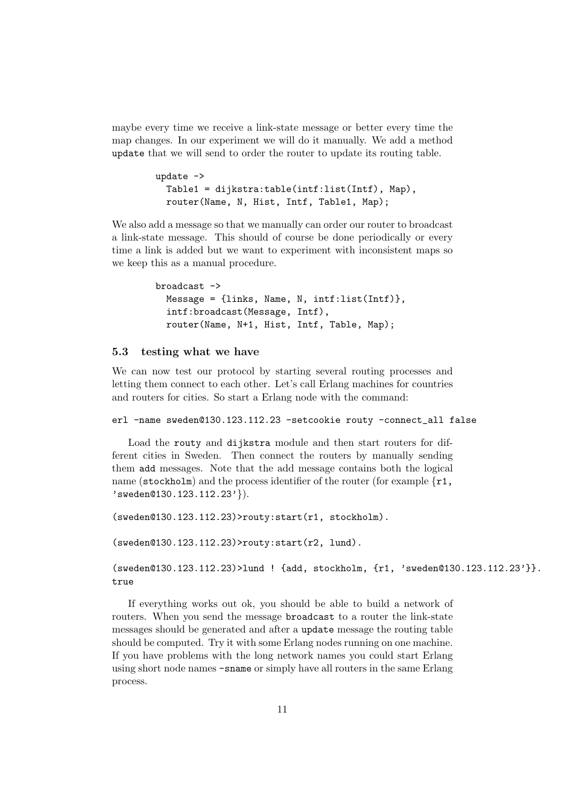maybe every time we receive a link-state message or better every time the map changes. In our experiment we will do it manually. We add a method update that we will send to order the router to update its routing table.

```
update ->
  Table1 = dijkstra:table(intf:list(Intf), Map),
  router(Name, N, Hist, Intf, Table1, Map);
```
We also add a message so that we manually can order our router to broadcast a link-state message. This should of course be done periodically or every time a link is added but we want to experiment with inconsistent maps so we keep this as a manual procedure.

```
broadcast ->
  Message = {links, Name, N, intf:list(Intf)},
  intf:broadcast(Message, Intf),
  router(Name, N+1, Hist, Intf, Table, Map);
```
#### 5.3 testing what we have

We can now test our protocol by starting several routing processes and letting them connect to each other. Let's call Erlang machines for countries and routers for cities. So start a Erlang node with the command:

erl -name sweden@130.123.112.23 -setcookie routy -connect\_all false

Load the routy and dijkstra module and then start routers for different cities in Sweden. Then connect the routers by manually sending them add messages. Note that the add message contains both the logical name (stockholm) and the process identifier of the router (for example  $\{r1,$ 'sweden@130.123.112.23'}).

(sweden@130.123.112.23)>routy:start(r1, stockholm).

(sweden@130.123.112.23)>routy:start(r2, lund).

(sweden@130.123.112.23)>lund ! {add, stockholm, {r1, 'sweden@130.123.112.23'}}. true

If everything works out ok, you should be able to build a network of routers. When you send the message broadcast to a router the link-state messages should be generated and after a update message the routing table should be computed. Try it with some Erlang nodes running on one machine. If you have problems with the long network names you could start Erlang using short node names -sname or simply have all routers in the same Erlang process.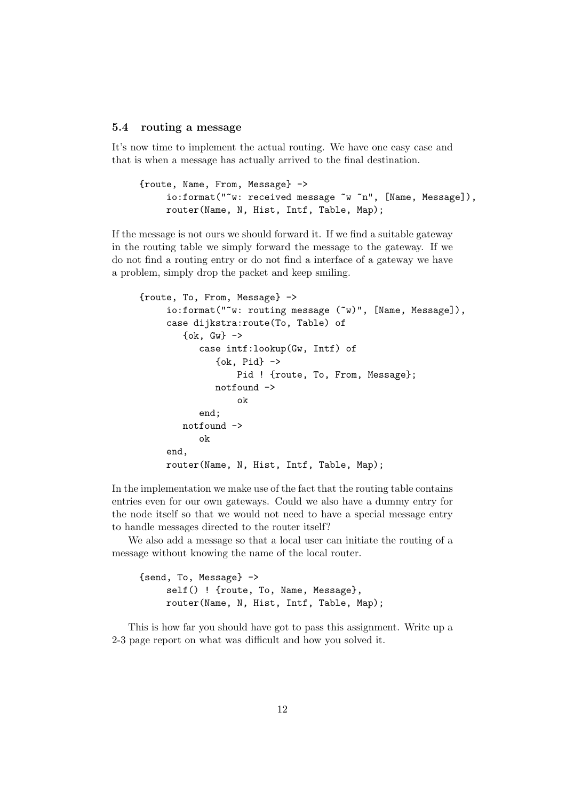#### 5.4 routing a message

It's now time to implement the actual routing. We have one easy case and that is when a message has actually arrived to the final destination.

```
{route, Name, From, Message} ->
    io:format("~w: received message ~w ~n", [Name, Message]),
    router(Name, N, Hist, Intf, Table, Map);
```
If the message is not ours we should forward it. If we find a suitable gateway in the routing table we simply forward the message to the gateway. If we do not find a routing entry or do not find a interface of a gateway we have a problem, simply drop the packet and keep smiling.

```
{route, To, From, Message} ->
     io:format("~w: routing message (~w)", [Name, Message]),
     case dijkstra:route(To, Table) of
        \{ok, GW\} ->
           case intf:lookup(Gw, Intf) of
              \{ok, Pid\} ->
                  Pid ! {route, To, From, Message};
              notfound ->
                  ok
           end;
        notfound ->
           ok
     end,
     router(Name, N, Hist, Intf, Table, Map);
```
In the implementation we make use of the fact that the routing table contains entries even for our own gateways. Could we also have a dummy entry for the node itself so that we would not need to have a special message entry to handle messages directed to the router itself?

We also add a message so that a local user can initiate the routing of a message without knowing the name of the local router.

```
{send, To, Message} ->
    self() ! {route, To, Name, Message},
     router(Name, N, Hist, Intf, Table, Map);
```
This is how far you should have got to pass this assignment. Write up a 2-3 page report on what was difficult and how you solved it.